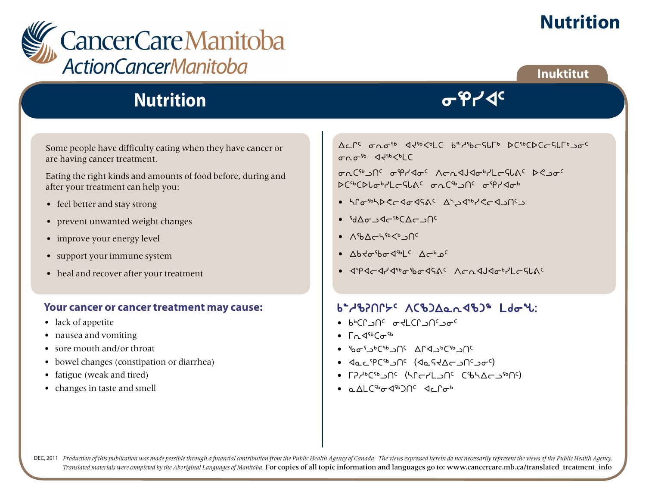

**Inuktitut**



## **Nutrition**

Some people have difficulty eating when they have cancer or are having cancer treatment.

Eating the right kinds and amounts of food before, during and after your treatment can help you:

- feel better and stay strong
- prevent unwanted weight changes
- improve your energy level
- support your immune system
- heal and recover after your treatment

#### **Your cancer or cancer treatment may cause:**

- lack of appetite
- nausea and vomiting
- sore mouth and/or throat
- bowel changes (constipation or diarrhea)
- fatigue (weak and tired)
- changes in taste and smell

Ac CC  $\sigma_0 \sigma_5$  and  $\sigma_6$  is  $\sigma_6$  if  $\sigma_7$  is  $\sigma_6$  if  $\sigma_7$  is  $\sigma_7$  if  $\sigma_8$  is  $\sigma_7$  if  $\sigma_8$  is  $\sigma_9$  if  $\sigma_9$  is  $\sigma_9$  if  $\sigma_8$  is  $\sigma_9$  if  $\sigma_9$  is  $\sigma_9$  if  $\sigma_8$  is  $\sigma_9$  if  $\sigma_8$  is  $\sigma_9$  is  $0.66$   $44$ <sub>66</sub> $\leq$ <sub>6</sub>  $\leq$ 

ing C<sup>sb</sup> incorrections in the Capacase of the Capacase of Capacase C  $SC^{6}CDL_{\sigma}^{b}YL_{\sigma}^{c}C_{\sigma}^{c}$  and  $C^{6}$  in  $C^{6}$  and  $C^{6}$ 

- hratbyCcdadSAC AbuderCcdonC
- dwilxo6bwolt5
- $\Lambda^{5}b\Lambda_{\Gamma}b^{5}b^{5}b^{3}$
- $Abd\sigma$  $b\sigma$  $d^{5b}$  $c$   $A\sigma$  $b$  $c$ <sup> $c$ </sup>
- $\bullet$  sexocyx<sup>6</sup> and  $\bullet$  sexocyx<sup>2</sup> works worked worked worked worked worked worked worked worked worked worked worked worked worked worked worked worked worked worked worked worked worked worked worked worked worked work

#### $b^2/8$  $\Omega$

- $\bullet$   $\mu_{p}$ CL  $\sigma_{q}$  is  $\mu_{q}$  if  $\sigma_{q}$  is  $\mu_{q}$
- $\Gamma_0$   $\triangleleft$ <sup>56</sup> $C\sigma$ <sup>56</sup>
- $\bullet$   $\delta$ b $\sigma$ f $\sigma$ <sup>6</sup>Csb $\Box$ Occa $\sigma$ DCsb $\Box$ Occa $\sigma$
- JacipCibJNC (JaftAcJNCJoc)
- LY4pCaPUC (HULIUC CaPYQLISH)
- $\alpha$  AI  $\beta$ <sup>6</sup> $\alpha$ 4<sup>6</sup> $\beta$ O<sup>C</sup>  $\beta$ <sub>C</sub>  $\beta$ <sub>O</sub><sup>6</sup>

DEC, 2011 Production of this publication was made possible through a financial contribution from the Public Health Agency of Canada. The views expressed herein do not necessarily represent the views of the Public Health Ag *Translated materials were completed by the Aboriginal Languages of Manitoba.* For copies of all topic information and languages go to: www.cancercare.mb.ca/translated\_treatment\_info

 $\sigma$ ipy $\sim$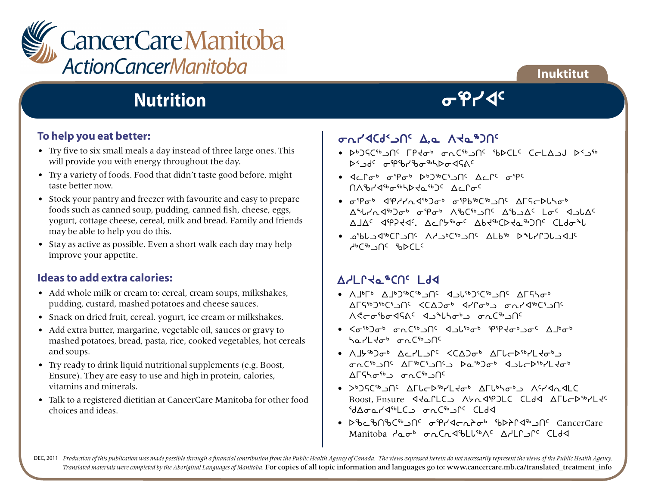

## **Inuktitut**

## **Nutrition**

### **To help you eat better:**

- Try five to six small meals a day instead of three large ones. This will provide you with energy throughout the day.
- Try a variety of foods. Food that didn't taste good before, might taste better now.
- Stock your pantry and freezer with favourite and easy to prepare foods such as canned soup, pudding, canned fish, cheese, eggs, yogurt, cottage cheese, cereal, milk and bread. Family and friends may be able to help you do this.
- Stay as active as possible. Even a short walk each day may help improve your appetite.

### **Ideas to add extra calories:**

- Add whole milk or cream to: cereal, cream soups, milkshakes, pudding, custard, mashed potatoes and cheese sauces.
- Snack on dried fruit, cereal, yogurt, ice cream or milkshakes.
- Add extra butter, margarine, vegetable oil, sauces or gravy to mashed potatoes, bread, pasta, rice, cooked vegetables, hot cereals and soups.
- Try ready to drink liquid nutritional supplements (e.g. Boost, Ensure). They are easy to use and high in protein, calories, vitamins and minerals.
- Talk to a registered dietitian at CancerCare Manitoba for other food choices and ideas.

## iEyxbf2lt5 w,N WJN6gt5

• שלא האריך C-LA וכשל איר הארי האריך של האריך של b<Jdc ofp9br9bo9bbo45Ac

 $\sigma$ ipy $\mathcal{A}^c$ 

- 4cr <sub>6</sub> fe<sup>6</sup> s<sub>4</sub>b<sub>6</sub> b<sub>6</sub> s<sub>4</sub>c<sub>2</sub> c<sub>6</sub> s<sub>4c</sub> nothership and the control of
- iei4 xehyEx6gi4 iev6b6lt5 wuCosZni4  $\Delta^4$ ሁረሊፈናቃጋσቃ σነβσቃ Λზርናቃ ጋበ< Δ' ΦΟΔς Lσς < ΔυλΔς wjw5 xeDJx5. wMQ/6i5 wvJ6bsJN6gt5 bmfiz
- kcZlx6bQlt5 Whl4b6lt5 wmv6 szyQgZlxj5  $A<sub>p</sub>C<sub>4p</sub> C<sub>1</sub>C <sub>6p</sub>C<sub>1</sub>C$

### AYLLYa<sup>\$CUC</sup> Ld4

- A  $|b|$ b A  $|b|$ 36 $C$ sb  $\Omega$ <sub>5</sub>  $\Omega$ <sub>56</sub>  $\Omega$ <sub>56</sub>  $\Omega$ <sub>56</sub>  $\Omega$ 55 $\sigma$ b<sub>5</sub> and ceapty ceapty and an archives in the system in the set of the set of the set of the set of the set of the <u>A Croibo dha Changa an Chang</u>
- $\langle \sigma^{5b} \rangle \sigma^{b}$   $\sigma_{0}$  ( $^{5b}$   $\gamma_{1}$ )<sup>(</sup>  $\gamma_{2}$   $\gamma_{1}$ )<sup> $\gamma_{2}$ </sup>  $\sigma^{6}$   $\gamma_{1}$ ) $\sigma^{6}$   $\gamma_{1}$   $\gamma_{2}$ harLto<sup>6</sup> onC<sup>96</sup>Jnc
- A 15<sup>%</sup> Jo<sup>6</sup> Acrl J<sup>ec</sup> <CAJo<sup>6</sup> AFLCD<sup>%</sup>rL Jo<sup>6</sup> iEb6lt5 wu6b3lt5l sN6gi4 xlZos6ymJi4 <sup>1</sup>∩د™C<sup>6</sup> ت ه∙+Al<sup>c</sup>
- >b)SCSbjnc AFLCDSb/Ltob AFLbhobb AC/MadLC Boost, Ensure <aLLC Abr<br/>
Abr<br/>
Boost, Ensure <aLLC <br/>
Abr<br/>
Abr<br/>
Abr<br/>
Abr<br/>
Abr<br/>
Abr<br/>
Abr<br/>
Abr<br/>
Abr<br/>
Abr<br/>
Abr<br/>
Abr<br/>
Abr<br/>
Abr<br/>
Abr<br/>
Abr<br/>
Abr<br/>
Abr<b  $G_{\text{b}}$ dwind in the control department is a control dependent of department in the control dependent of dependent in the control dependent of department of department of department of department of department of departm
- bb6c%D%C%DUC ofPddcndob %bdfld%DUC cancerCare Manitoba daob onCndbLUBAC AdLPJPC CLdd

DEC, 2011 Production of this publication was made possible through a financial contribution from the Public Health Agency of Canada. The views expressed herein do not necessarily represent the views of the Public Health Ag *Translated materials were completed by the Aboriginal Languages of Manitoba.* For copies of all topic information and languages go to: www.cancercare.mb.ca/translated\_treatment\_info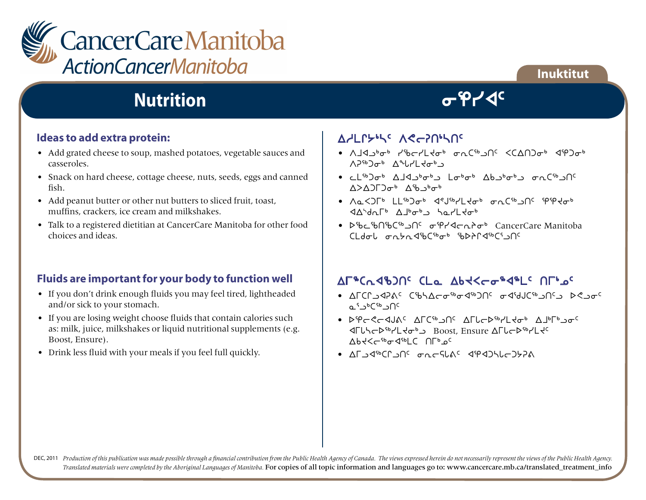

## **Nutrition**

# $\sigma$ ipy $\mathcal{A}^c$

**Inuktitut**

#### **Ideas to add extra protein:**

- Add grated cheese to soup, mashed potatoes, vegetable sauces and casseroles.
- Snack on hard cheese, cottage cheese, nuts, seeds, eggs and canned fish.
- Add peanut butter or other nut butters to sliced fruit, toast, muffins, crackers, ice cream and milkshakes.
- Talk to a registered dietitian at CancerCare Manitoba for other food choices and ideas.

#### **Fluids are important for your body to function well**

- If you don't drink enough fluids you may feel tired, lightheaded and/or sick to your stomach.
- If you are losing weight choose fluids that contain calories such as: milk, juice, milkshakes or liquid nutritional supplements (e.g. Boost, Ensure).
- Drink less fluid with your meals if you feel full quickly.

## A<sub>d</sub>Lryth Ae-20the

- שלקבי לינריב של הכלי של המכיני לינרד או המשלח לינרד או המשלח יולי האו המשלח המות המות המשלח הוא היולי הוא המ  $V_{\rm{24}}$  y<sub>4</sub>e<sub>p</sub> y<sub>4</sub>e<sub>p</sub> y<sub>4</sub>e<sub>p</sub> y<sub>4</sub>e<sub>p</sub> y<sub>4</sub>e<sub>p</sub> y<sub>4</sub>e<sub>p</sub> y<sub>4</sub>e<sub>p</sub> y<sub>4</sub>e<sub>p</sub> y<sub>4</sub>e<sub>p</sub> y<sub>4</sub>e<sub>p</sub> y<sub>4</sub>e<sub>p</sub> y<sub>4</sub>e<sub>p</sub> y<sub>4</sub>e<sub>p</sub> y<sub>4</sub>e<sub>p</sub> y<sub>4</sub>e<sub>p</sub> y<sub>4</sub>e<sub>p</sub> y<sub>4</sub>e<sub>p</sub> y<sub>4</sub>e<sub>p</sub> y<sub>4</sub>e<sub>p</sub> y<sub>4</sub>e<sub>p</sub> y<sub>4</sub>e<sub>p</sub> y<sub>4</sub>e<sub>p</sub> y<sub>4</sub>e<sub>p</sub> y<sub>4</sub>
- <sup>•</sup> cl<sup>4b</sup>) ot ald otob abstot which work with  $\Delta$  $\Lambda$ > $\Lambda$  $\Gamma$  $\sigma$ <sup>b</sup>  $\Lambda$ <sup>5</sup> $h$ <sub>2</sub><sup>b</sup><sub> $\sigma$ </sub><sup>b</sup>
- $\Lambda_0$ < $\Lambda_0$  +  $\Lambda_0$ <sub>6</sub>  $\Lambda_0$ <sub>6</sub>  $\Lambda_0$ <sup>6</sup>  $\Lambda_0$ <sub>6</sub>  $\Lambda_0$ <sub>6</sub>  $\Lambda_0$ <sub>6</sub>  $\Lambda_0$ <sub>6</sub>  $\Lambda_0$ <sub>6</sub>  $\Lambda_0$ <sub>6</sub>  $\Lambda_0$ <sub>6</sub>  $\Lambda_0$ <sub>6</sub>  $\Lambda_0$ <sub>6</sub>  $\Lambda_0$ <sub>6</sub>  $\Lambda_0$ <sub>6</sub>  $\Lambda_0$ <sub>6</sub>  $\Lambda_0$ <sub>6</sub>  $\Lambda_0$ <sub>6</sub>  $\Lambda_0$ xw{fEu4 wj4i4l nNymJi4
- bbcbnbcbchccom cancerCare Manitoba CLdol onth196Cibob ibD2P4ibCi\_nc

### AF&Cn4bJNS CLa Abt<co&4&LS NFLos

- wubQlxDF5 bcnwoi6ix6gt5 ixdAb6lt5l s?li5  $0.5$ <sup>b</sup>C<sup>sb</sup> 20<sup>C</sup>
- DPCSCAJAS AFCSDOS AFLCDSULLED AJUFUDOS  $\mathcal{A}$ LUSCPSb/LUSCD Boost, Ensure ALUCPSb/LUSC  $\Delta b$ 4<< $\Delta e$ <sub>46</sub> 4<sub>6</sub>pC 0Lp<sup>o</sup>c
- $\bullet$  and  $\bullet$   $\Lambda$  is  $\bullet$  or  $\bullet$  or  $\bullet$  can be a set of  $\bullet$   $\Lambda$

DEC, 2011 Production of this publication was made possible through a financial contribution from the Public Health Agency of Canada. The views expressed herein do not necessarily represent the views of the Public Health Ag *Translated materials were completed by the Aboriginal Languages of Manitoba.* For copies of all topic information and languages go to: www.cancercare.mb.ca/translated\_treatment\_info